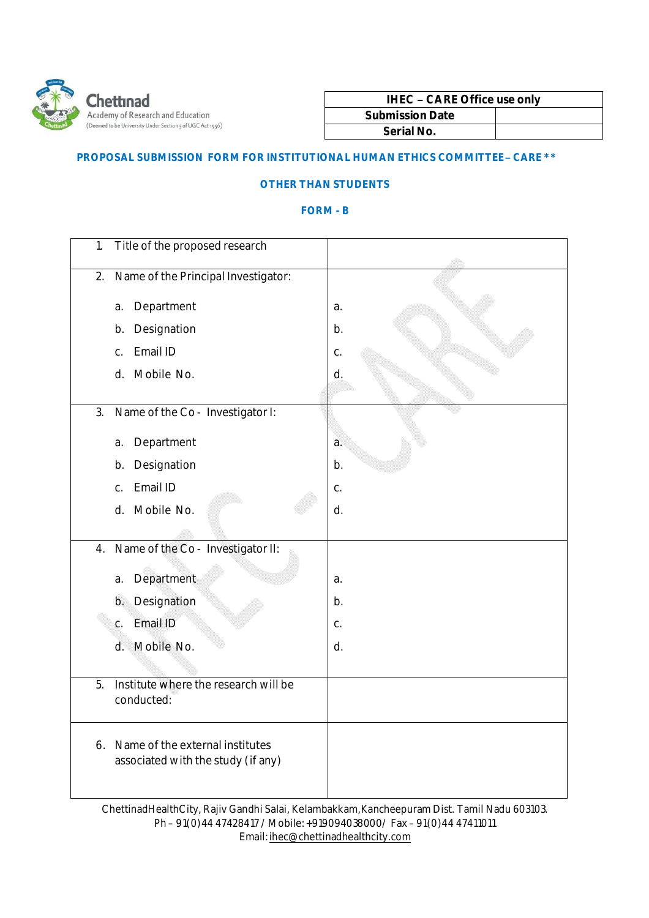

| <b>IHEC - CARE Office use only</b> |  |
|------------------------------------|--|
| <b>Submission Date</b>             |  |
| Serial No.                         |  |

## **PROPOSAL SUBMISSION FORM FOR INSTITUTIONAL HUMAN ETHICS COMMITTEE– CARE \*\***

## **OTHER THAN STUDENTS**

## **FORM - B**

| 1.               | Title of the proposed research                                        |    |
|------------------|-----------------------------------------------------------------------|----|
| 2.               | Name of the Principal Investigator:                                   |    |
| a.               | Department                                                            | a. |
| b.               | Designation                                                           | b. |
| $C_{\cdot}$      | Email ID                                                              | C. |
| d.               | Mobile No.                                                            | d. |
|                  |                                                                       |    |
| 3.               | Name of the Co - Investigator I:                                      |    |
| a.               | Department                                                            | a. |
| b.               | Designation                                                           | b. |
| C.               | Email ID                                                              | C. |
|                  | d. Mobile No.                                                         | d. |
|                  |                                                                       |    |
| 4.               | Name of the Co - Investigator II:                                     |    |
| a.               | Department                                                            | a. |
|                  | b. Designation                                                        | b. |
| C.               | Email ID                                                              | C. |
| d.               | Mobile No.                                                            | d. |
|                  |                                                                       |    |
| 5.<br>conducted: | Institute where the research will be                                  |    |
| 6.               | Name of the external institutes<br>associated with the study (if any) |    |

ChettinadHealthCity, Rajiv Gandhi Salai, Kelambakkam,Kancheepuram Dist. Tamil Nadu 603103. Ph – 91(0)44 47428417 /Mobile:+919094038000/ Fax – 91(0)44 47411011 Email:ihec@chettinadhealthcity.com